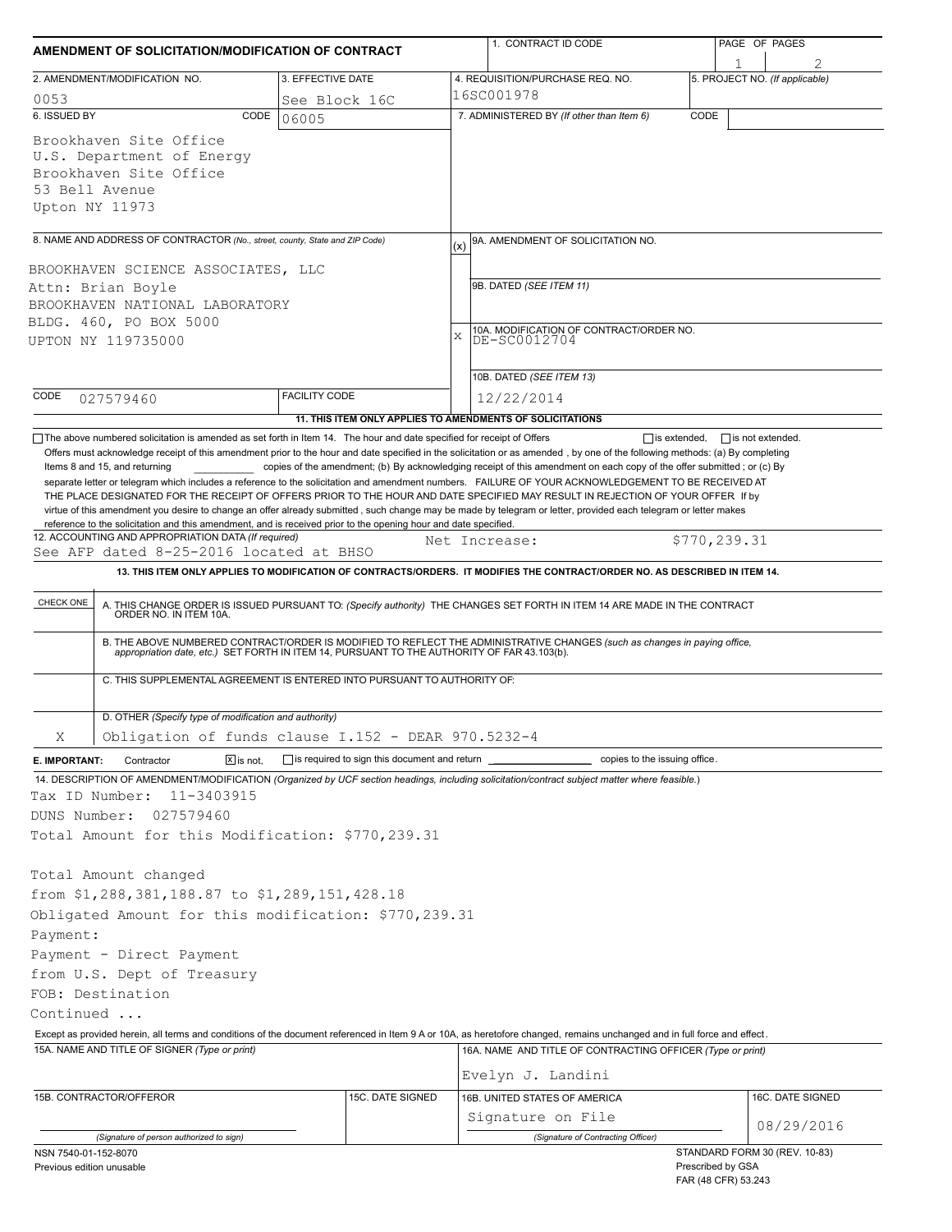| AMENDMENT OF SOLICITATION/MODIFICATION OF CONTRACT                                                                                                                                                                                                                                                                                                                                   |                              |                                                                          |               | 1. CONTRACT ID CODE                                                                                                                                                                                                   |      | PAGE OF PAGES                                      |  |  |
|--------------------------------------------------------------------------------------------------------------------------------------------------------------------------------------------------------------------------------------------------------------------------------------------------------------------------------------------------------------------------------------|------------------------------|--------------------------------------------------------------------------|---------------|-----------------------------------------------------------------------------------------------------------------------------------------------------------------------------------------------------------------------|------|----------------------------------------------------|--|--|
| 2. AMENDMENT/MODIFICATION NO.                                                                                                                                                                                                                                                                                                                                                        |                              | 3. EFFECTIVE DATE                                                        |               | 4. REQUISITION/PURCHASE REQ. NO.                                                                                                                                                                                      |      | 5. PROJECT NO. (If applicable)                     |  |  |
| 0053                                                                                                                                                                                                                                                                                                                                                                                 |                              | See Block 16C                                                            |               | 16SC001978                                                                                                                                                                                                            |      |                                                    |  |  |
| 6. ISSUED BY                                                                                                                                                                                                                                                                                                                                                                         | CODE                         | 06005                                                                    |               | 7. ADMINISTERED BY (If other than Item 6)                                                                                                                                                                             | CODE |                                                    |  |  |
| Brookhaven Site Office<br>U.S. Department of Energy<br>Brookhaven Site Office<br>53 Bell Avenue<br>Upton NY 11973                                                                                                                                                                                                                                                                    |                              |                                                                          |               |                                                                                                                                                                                                                       |      |                                                    |  |  |
| 8. NAME AND ADDRESS OF CONTRACTOR (No., street, county, State and ZIP Code)                                                                                                                                                                                                                                                                                                          |                              |                                                                          | (x)           | 9A. AMENDMENT OF SOLICITATION NO.                                                                                                                                                                                     |      |                                                    |  |  |
| BROOKHAVEN SCIENCE ASSOCIATES, LLC<br>Attn: Brian Boyle<br>BROOKHAVEN NATIONAL LABORATORY<br>BLDG. 460, PO BOX 5000                                                                                                                                                                                                                                                                  |                              |                                                                          |               | 9B. DATED (SEE ITEM 11)                                                                                                                                                                                               |      |                                                    |  |  |
| UPTON NY 119735000                                                                                                                                                                                                                                                                                                                                                                   |                              |                                                                          | X             | 10A. MODIFICATION OF CONTRACT/ORDER NO.<br>DE-SC0012704                                                                                                                                                               |      |                                                    |  |  |
|                                                                                                                                                                                                                                                                                                                                                                                      |                              |                                                                          |               | 10B. DATED (SEE ITEM 13)                                                                                                                                                                                              |      |                                                    |  |  |
| CODE<br>027579460                                                                                                                                                                                                                                                                                                                                                                    |                              | <b>FACILITY CODE</b>                                                     |               | 12/22/2014                                                                                                                                                                                                            |      |                                                    |  |  |
|                                                                                                                                                                                                                                                                                                                                                                                      |                              | 11. THIS ITEM ONLY APPLIES TO AMENDMENTS OF SOLICITATIONS                |               |                                                                                                                                                                                                                       |      |                                                    |  |  |
| virtue of this amendment you desire to change an offer already submitted, such change may be made by telegram or letter, provided each telegram or letter makes<br>reference to the solicitation and this amendment, and is received prior to the opening hour and date specified.<br>12. ACCOUNTING AND APPROPRIATION DATA (If required)<br>See AFP dated 8-25-2016 located at BHSO |                              |                                                                          | Net Increase: |                                                                                                                                                                                                                       |      | \$770,239.31                                       |  |  |
|                                                                                                                                                                                                                                                                                                                                                                                      |                              |                                                                          |               | 13. THIS ITEM ONLY APPLIES TO MODIFICATION OF CONTRACTS/ORDERS. IT MODIFIES THE CONTRACT/ORDER NO. AS DESCRIBED IN ITEM 14.                                                                                           |      |                                                    |  |  |
| CHECK ONE                                                                                                                                                                                                                                                                                                                                                                            |                              |                                                                          |               | A. THIS CHANGE ORDER IS ISSUED PURSUANT TO: (Specify authority) THE CHANGES SET FORTH IN ITEM 14 ARE MADE IN THE CONTRACT ORDER NO. IN ITEM 10A.                                                                      |      |                                                    |  |  |
|                                                                                                                                                                                                                                                                                                                                                                                      |                              |                                                                          |               | B. THE ABOVE NUMBERED CONTRACT/ORDER IS MODIFIED TO REFLECT THE ADMINISTRATIVE CHANGES (such as changes in paying office, appropriation date, etc.) SET FORTH IN ITEM 14, PURSUANT TO THE AUTHORITY OF FAR 43.103(b). |      |                                                    |  |  |
|                                                                                                                                                                                                                                                                                                                                                                                      |                              | C. THIS SUPPLEMENTAL AGREEMENT IS ENTERED INTO PURSUANT TO AUTHORITY OF: |               |                                                                                                                                                                                                                       |      |                                                    |  |  |
| D. OTHER (Specify type of modification and authority)                                                                                                                                                                                                                                                                                                                                |                              |                                                                          |               |                                                                                                                                                                                                                       |      |                                                    |  |  |
| Χ                                                                                                                                                                                                                                                                                                                                                                                    |                              | Obligation of funds clause I.152 - DEAR 970.5232-4                       |               |                                                                                                                                                                                                                       |      |                                                    |  |  |
| E. IMPORTANT:<br>Contractor<br>14. DESCRIPTION OF AMENDMENT/MODIFICATION (Organized by UCF section headings, including solicitation/contract subject matter where feasible.)<br>Tax ID Number:<br>11-3403915<br>DUNS Number:<br>027579460<br>Total Amount for this Modification: \$770,239.31                                                                                        | $\boxed{\mathsf{X}}$ is not. | $\Box$ is required to sign this document and return $\Box$               |               | copies to the issuing office.                                                                                                                                                                                         |      |                                                    |  |  |
| Total Amount changed<br>from \$1,288,381,188.87 to \$1,289,151,428.18<br>Obligated Amount for this modification: \$770,239.31<br>Payment:                                                                                                                                                                                                                                            |                              |                                                                          |               |                                                                                                                                                                                                                       |      |                                                    |  |  |
| Payment - Direct Payment                                                                                                                                                                                                                                                                                                                                                             |                              |                                                                          |               |                                                                                                                                                                                                                       |      |                                                    |  |  |
| from U.S. Dept of Treasury                                                                                                                                                                                                                                                                                                                                                           |                              |                                                                          |               |                                                                                                                                                                                                                       |      |                                                    |  |  |
| FOB: Destination                                                                                                                                                                                                                                                                                                                                                                     |                              |                                                                          |               |                                                                                                                                                                                                                       |      |                                                    |  |  |
| Continued                                                                                                                                                                                                                                                                                                                                                                            |                              |                                                                          |               |                                                                                                                                                                                                                       |      |                                                    |  |  |
| Except as provided herein, all terms and conditions of the document referenced in Item 9 A or 10A, as heretofore changed, remains unchanged and in full force and effect.                                                                                                                                                                                                            |                              |                                                                          |               |                                                                                                                                                                                                                       |      |                                                    |  |  |
| 15A. NAME AND TITLE OF SIGNER (Type or print)                                                                                                                                                                                                                                                                                                                                        |                              |                                                                          |               | 16A. NAME AND TITLE OF CONTRACTING OFFICER (Type or print)<br>Evelyn J. Landini                                                                                                                                       |      |                                                    |  |  |
| 15B. CONTRACTOR/OFFEROR                                                                                                                                                                                                                                                                                                                                                              |                              | 15C. DATE SIGNED                                                         |               | 16B. UNITED STATES OF AMERICA                                                                                                                                                                                         |      | 16C. DATE SIGNED                                   |  |  |
|                                                                                                                                                                                                                                                                                                                                                                                      |                              |                                                                          |               | Signature on File                                                                                                                                                                                                     |      |                                                    |  |  |
| (Signature of person authorized to sign)                                                                                                                                                                                                                                                                                                                                             |                              |                                                                          |               | (Signature of Contracting Officer)                                                                                                                                                                                    |      | 08/29/2016                                         |  |  |
| NSN 7540-01-152-8070<br>Previous edition unusable                                                                                                                                                                                                                                                                                                                                    |                              |                                                                          |               |                                                                                                                                                                                                                       |      | STANDARD FORM 30 (REV. 10-83)<br>Prescribed by GSA |  |  |

FAR (48 CFR) 53.243